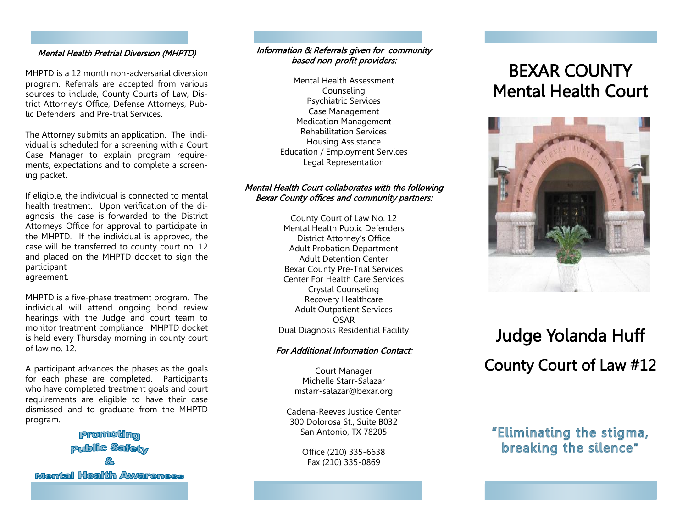#### Mental Health Pretrial Diversion (MHPTD)

MHPTD is a 12 month non-adversarial diversion program. Referrals are accepted from various sources to include, County Courts of Law, District Attorney's Office, Defense Attorneys, Public Defenders and Pre-trial Services.

The Attorney submits an application. The individual is scheduled for a screening with a Court Case Manager to explain program requirements, expectations and to complete a screening packet.

If eligible, the individual is connected to mental health treatment. Upon verification of the diagnosis, the case is forwarded to the District Attorneys Office for approval to participate in the MHPTD. If the individual is approved, the case will be transferred to county court no. 12 and placed on the MHPTD docket to sign the participant agreement.

MHPTD is a five-phase treatment program. The individual will attend ongoing bond review hearings with the Judge and court team to monitor treatment compliance. MHPTD docket is held every Thursday morning in county court of law no. 12.

A participant advances the phases as the goals for each phase are completed. Participants who have completed treatment goals and court requirements are eligible to have their case dismissed and to graduate from the MHPTD program.

**Promoting Public Safety Mantal Health Awareness** 

#### Information & Referrals given for community based non-profit providers:

Mental Health Assessment Counseling Psychiatric Services Case Management Medication Management Rehabilitation Services Housing Assistance Education / Employment Services Legal Representation

#### Mental Health Court collaborates with the following Bexar County offices and community partners:

County Court of Law No. 12 Mental Health Public Defenders District Attorney's Office Adult Probation Department Adult Detention Center Bexar County Pre-Trial Services Center For Health Care Services Crystal Counseling Recovery Healthcare Adult Outpatient Services OSAR Dual Diagnosis Residential Facility

#### For Additional Information Contact:

Court Manager Michelle Starr-Salazar mstarr-salazar@bexar.org

Cadena-Reeves Justice Center 300 Dolorosa St., Suite B032 San Antonio, TX 78205

> Office (210) 335-6638 Fax (210) 335-0869

## BEXAR COUNTY Mental Health Court



# Judge Yolanda Huff County Court of Law #12

### "Eliminating the stigma, breaking the silence"